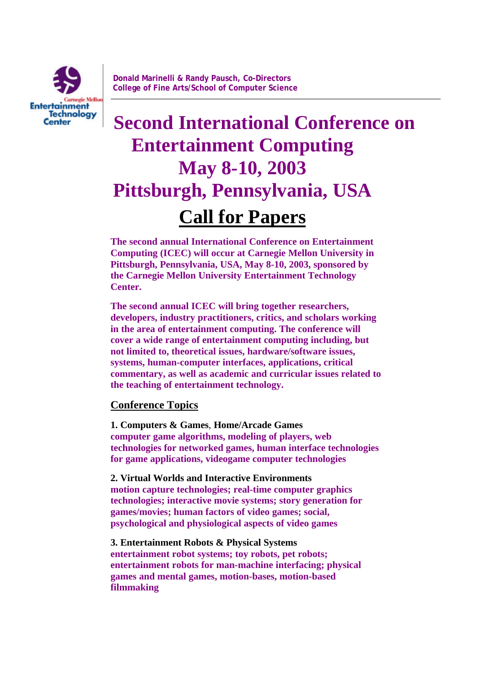

# **Second International Conference on Entertainment Computing May 8-10, 2003 Pittsburgh, Pennsylvania, USA Call for Papers**

**The second annual International Conference on Entertainment Computing (ICEC) will occur at Carnegie Mellon University in Pittsburgh, Pennsylvania, USA, May 8-10, 2003, sponsored by the Carnegie Mellon University Entertainment Technology Center.**

**The second annual ICEC will bring together researchers, developers, industry practitioners, critics, and scholars working in the area of entertainment computing. The conference will cover a wide range of entertainment computing including, but not limited to, theoretical issues, hardware/software issues, systems, human-computer interfaces, applications, critical commentary, as well as academic and curricular issues related to the teaching of entertainment technology.**

# **Conference Topics**

**1. Computers & Games**, **Home/Arcade Games computer game algorithms, modeling of players, web technologies for networked games, human interface technologies for game applications, videogame computer technologies**

**2. Virtual Worlds and Interactive Environments motion capture technologies; real-time computer graphics technologies; interactive movie systems; story generation for games/movies; human factors of video games; social, psychological and physiological aspects of video games**

**3. Entertainment Robots & Physical Systems entertainment robot systems; toy robots, pet robots; entertainment robots for man-machine interfacing; physical games and mental games, motion-bases, motion-based filmmaking**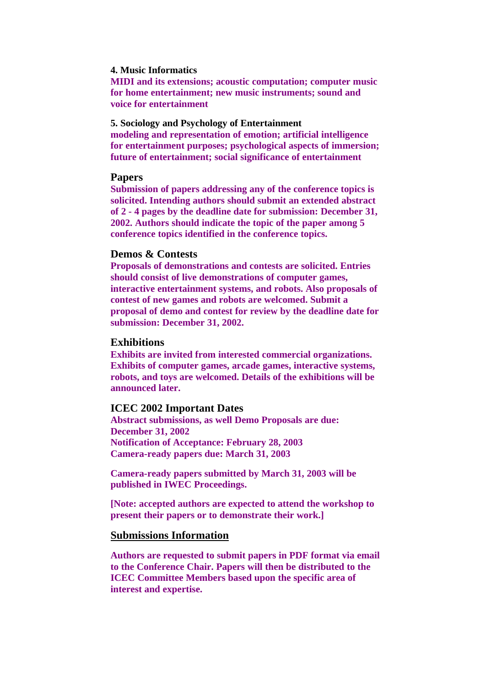# **4. Music Informatics**

**MIDI and its extensions; acoustic computation; computer music for home entertainment; new music instruments; sound and voice for entertainment**

**5. Sociology and Psychology of Entertainment modeling and representation of emotion; artificial intelligence for entertainment purposes; psychological aspects of immersion; future of entertainment; social significance of entertainment**

# **Papers**

**Submission of papers addressing any of the conference topics is solicited. Intending authors should submit an extended abstract of 2 - 4 pages by the deadline date for submission: December 31, 2002. Authors should indicate the topic of the paper among 5 conference topics identified in the conference topics.**

# **Demos & Contests**

**Proposals of demonstrations and contests are solicited. Entries should consist of live demonstrations of computer games, interactive entertainment systems, and robots. Also proposals of contest of new games and robots are welcomed. Submit a proposal of demo and contest for review by the deadline date for submission: December 31, 2002.**

#### **Exhibitions**

**Exhibits are invited from interested commercial organizations. Exhibits of computer games, arcade games, interactive systems, robots, and toys are welcomed. Details of the exhibitions will be announced later.**

# **ICEC 2002 Important Dates**

**Abstract submissions, as well Demo Proposals are due: December 31, 2002 Notification of Acceptance: February 28, 2003 Camera-ready papers due: March 31, 2003**

**Camera-ready papers submitted by March 31, 2003 will be published in IWEC Proceedings.**

**[Note: accepted authors are expected to attend the workshop to present their papers or to demonstrate their work.]**

# **Submissions Information**

**Authors are requested to submit papers in PDF format via email to the Conference Chair. Papers will then be distributed to the ICEC Committee Members based upon the specific area of interest and expertise.**